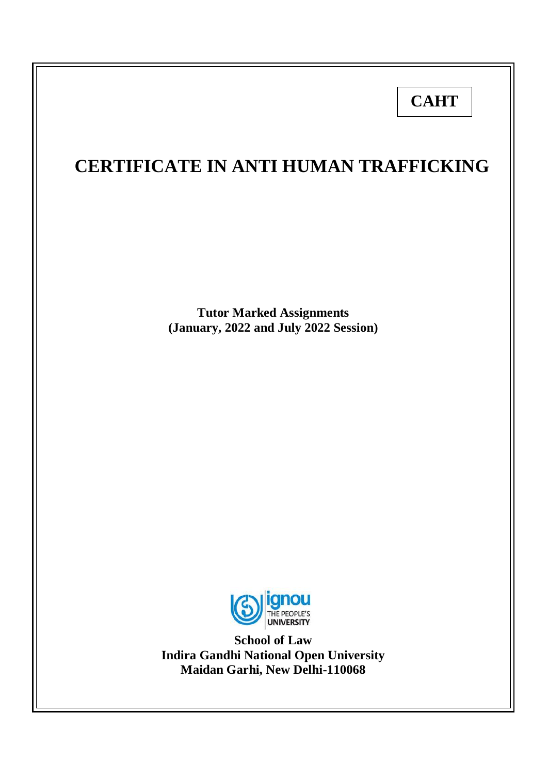# **CAHT**

## **CERTIFICATE IN ANTI HUMAN TRAFFICKING**

**Tutor Marked Assignments (January, 2022 and July 2022 Session)**



**School of Law Indira Gandhi National Open University Maidan Garhi, New Delhi-110068**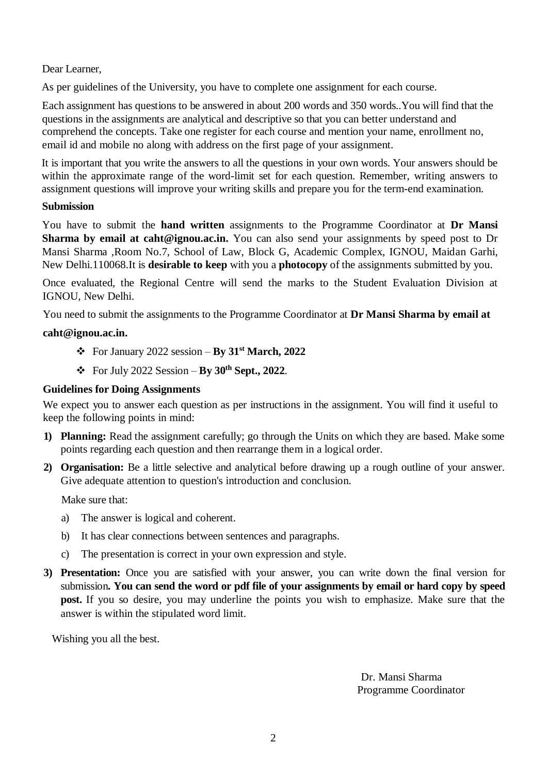## Dear Learner,

As per guidelines of the University, you have to complete one assignment for each course.

Each assignment has questions to be answered in about 200 words and 350 words..You will find that the questions in the assignments are analytical and descriptive so that you can better understand and comprehend the concepts. Take one register for each course and mention your name, enrollment no, email id and mobile no along with address on the first page of your assignment.

It is important that you write the answers to all the questions in your own words. Your answers should be within the approximate range of the word-limit set for each question. Remember, writing answers to assignment questions will improve your writing skills and prepare you for the term-end examination.

## **Submission**

You have to submit the **hand written** assignments to the Programme Coordinator at **Dr Mansi Sharma by email at caht@ignou.ac.in.** You can also send your assignments by speed post to Dr Mansi Sharma ,Room No.7, School of Law, Block G, Academic Complex, IGNOU, Maidan Garhi, New Delhi.110068.It is **desirable to keep** with you a **photocopy** of the assignments submitted by you.

Once evaluated, the Regional Centre will send the marks to the Student Evaluation Division at IGNOU, New Delhi.

You need to submit the assignments to the Programme Coordinator at **Dr Mansi Sharma by email at** 

## **caht@ignou.ac.in.**

- $\div$  For January 2022 session **By 31<sup>st</sup> March, 2022**
- For July 2022 Session **By 30th Sept., 2022**.

## **Guidelines for Doing Assignments**

We expect you to answer each question as per instructions in the assignment. You will find it useful to keep the following points in mind:

- **1) Planning:** Read the assignment carefully; go through the Units on which they are based. Make some points regarding each question and then rearrange them in a logical order.
- **2) Organisation:** Be a little selective and analytical before drawing up a rough outline of your answer. Give adequate attention to question's introduction and conclusion.

Make sure that:

- a) The answer is logical and coherent.
- b) It has clear connections between sentences and paragraphs.
- c) The presentation is correct in your own expression and style.
- **3) Presentation:** Once you are satisfied with your answer, you can write down the final version for submission**. You can send the word or pdf file of your assignments by email or hard copy by speed post.** If you so desire, you may underline the points you wish to emphasize. Make sure that the answer is within the stipulated word limit.

Wishing you all the best.

Dr. Mansi Sharma Programme Coordinator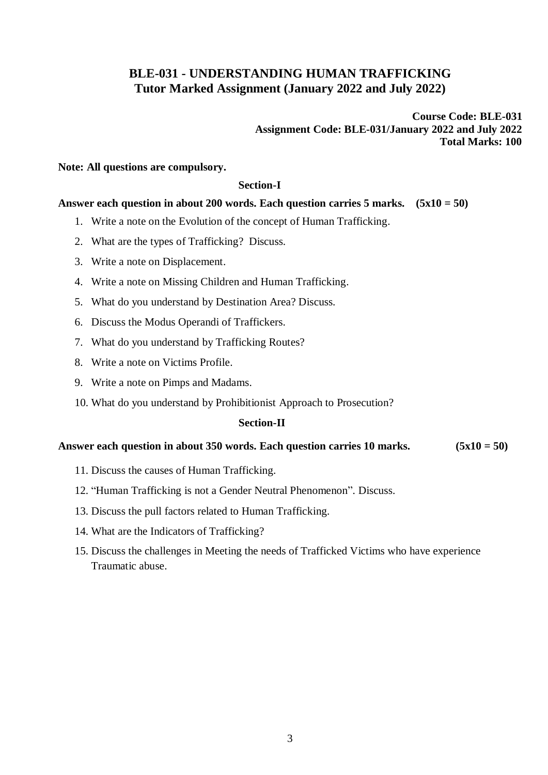## **BLE-031 - UNDERSTANDING HUMAN TRAFFICKING Tutor Marked Assignment (January 2022 and July 2022)**

**Course Code: BLE-031 Assignment Code: BLE-031/January 2022 and July 2022 Total Marks: 100**

## **Note: All questions are compulsory.**

#### **Section-I**

## **Answer each question in about 200 words. Each question carries 5 marks. (5x10 = 50)**

- 1. Write a note on the Evolution of the concept of Human Trafficking.
- 2. What are the types of Trafficking? Discuss.
- 3. Write a note on Displacement.
- 4. Write a note on Missing Children and Human Trafficking.
- 5. What do you understand by Destination Area? Discuss.
- 6. Discuss the Modus Operandi of Traffickers.
- 7. What do you understand by Trafficking Routes?
- 8. Write a note on Victims Profile.
- 9. Write a note on Pimps and Madams.
- 10. What do you understand by Prohibitionist Approach to Prosecution?

## **Section-II**

## **Answer each question in about 350 words. Each question carries 10 marks. (5x10 = 50)**

- 11. Discuss the causes of Human Trafficking.
- 12. "Human Trafficking is not a Gender Neutral Phenomenon". Discuss.
- 13. Discuss the pull factors related to Human Trafficking.
- 14. What are the Indicators of Trafficking?
- 15. Discuss the challenges in Meeting the needs of Trafficked Victims who have experience Traumatic abuse.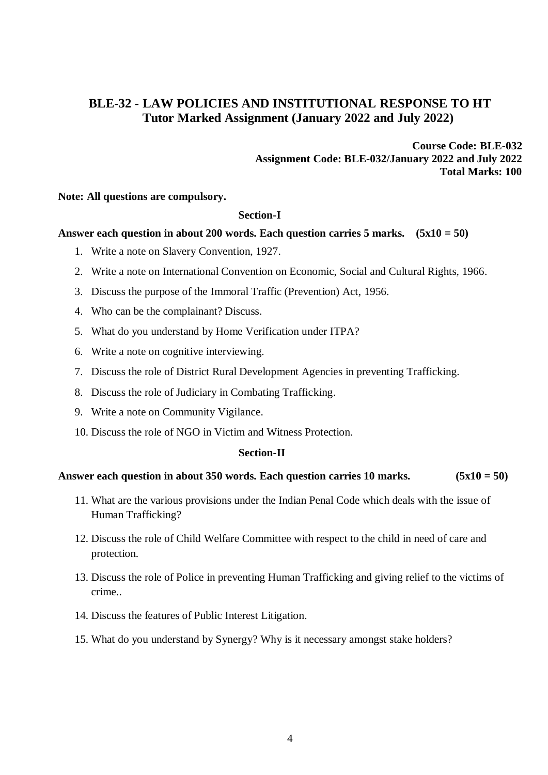## **BLE-32 - LAW POLICIES AND INSTITUTIONAL RESPONSE TO HT Tutor Marked Assignment (January 2022 and July 2022)**

**Course Code: BLE-032 Assignment Code: BLE-032/January 2022 and July 2022 Total Marks: 100**

**Note: All questions are compulsory.**

## **Section-I**

## **Answer each question in about 200 words. Each question carries 5 marks. (5x10 = 50)**

- 1. Write a note on Slavery Convention, 1927.
- 2. Write a note on International Convention on Economic, Social and Cultural Rights, 1966.
- 3. Discuss the purpose of the Immoral Traffic (Prevention) Act, 1956.
- 4. Who can be the complainant? Discuss.
- 5. What do you understand by Home Verification under ITPA?
- 6. Write a note on cognitive interviewing.
- 7. Discuss the role of District Rural Development Agencies in preventing Trafficking.
- 8. Discuss the role of Judiciary in Combating Trafficking.
- 9. Write a note on Community Vigilance.
- 10. Discuss the role of NGO in Victim and Witness Protection.

## **Section-II**

## **Answer each question in about 350 words. Each question carries 10 marks. (5x10 = 50)**

- 11. What are the various provisions under the Indian Penal Code which deals with the issue of Human Trafficking?
- 12. Discuss the role of Child Welfare Committee with respect to the child in need of care and protection.
- 13. Discuss the role of Police in preventing Human Trafficking and giving relief to the victims of crime..
- 14. Discuss the features of Public Interest Litigation.
- 15. What do you understand by Synergy? Why is it necessary amongst stake holders?